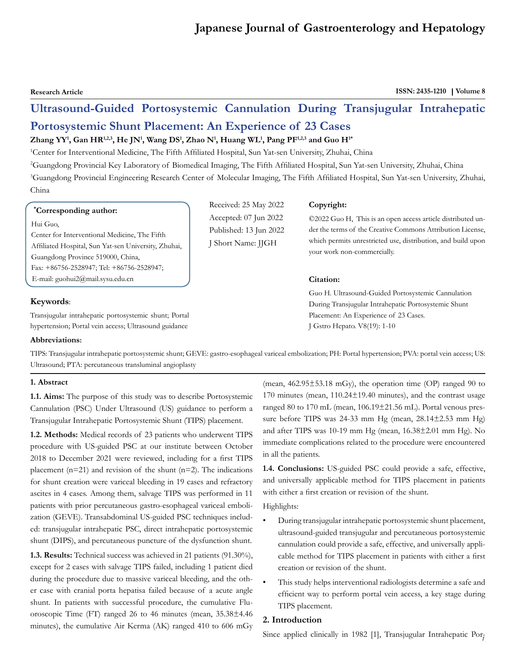# **Japanese Journal of Gastroenterology and Hepatology**

**Research Article ISSN: 2435-1210 | Volume 8** 

# **Ultrasound-Guided Portosystemic Cannulation During Transjugular Intrahepatic Portosystemic Shunt Placement: An Experience of 23 Cases**

# **Zhang YY1 , Gan HR1,2,3, He JN1 , Wang DS1 , Zhao N1 , Huang WL1 , Pang PF1,2,3 and Guo H1\***

1 Center for Interventional Medicine, The Fifth Affiliated Hospital, Sun Yat-sen University, Zhuhai, China

2 Guangdong Provincial Key Laboratory of Biomedical Imaging, The Fifth Affiliated Hospital, Sun Yat-sen University, Zhuhai, China 3 Guangdong Provincial Engineering Research Center of Molecular Imaging, The Fifth Affiliated Hospital, Sun Yat-sen University, Zhuhai, China

> Received: 25 May 2022 Accepted: 07 Jun 2022 Published: 13 Jun 2022 J Short Name: JJGH

# **\* Corresponding author:**

#### Hui Guo,

Center for Interventional Medicine, The Fifth Affiliated Hospital, Sun Yat-sen University, Zhuhai, Guangdong Province 519000, China, Fax: +86756-2528947; Tel: +86756-2528947; E-mail: guohui2@mail.sysu.edu.cn

# **Keywords**:

Transjugular intrahepatic portosystemic shunt; Portal hypertension; Portal vein access; Ultrasound guidance

#### **Abbreviations:**

TIPS: Transjugular intrahepatic portosystemic shunt; GEVE: gastro-esophageal variceal embolization; PH: Portal hypertension; PVA: portal vein access; US: Ultrasound; PTA: percutaneous transluminal angioplasty

#### **1. Abstract**

**1.1. Aims:** The purpose of this study was to describe Portosystemic Cannulation (PSC) Under Ultrasound (US) guidance to perform a Transjugular Intrahepatic Portosystemic Shunt (TIPS) placement.

**1.2. Methods:** Medical records of 23 patients who underwent TIPS procedure with US-guided PSC at our institute between October 2018 to December 2021 were reviewed, including for a first TIPS placement ( $n=21$ ) and revision of the shunt ( $n=2$ ). The indications for shunt creation were variceal bleeding in 19 cases and refractory ascites in 4 cases. Among them, salvage TIPS was performed in 11 patients with prior percutaneous gastro-esophageal variceal embolization (GEVE). Transabdominal US-guided PSC techniques included: transjugular intrahepatic PSC, direct intrahepatic portosystemic shunt (DIPS), and percutaneous puncture of the dysfunction shunt.

**1.3. Results:** Technical success was achieved in 21 patients (91.30%), except for 2 cases with salvage TIPS failed, including 1 patient died during the procedure due to massive variceal bleeding, and the other case with cranial porta hepatisa failed because of a acute angle shunt. In patients with successful procedure, the cumulative Fluoroscopic Time (FT) ranged 26 to 46 minutes (mean, 35.38±4.46 minutes), the cumulative Air Kerma (AK) ranged 410 to 606 mGy

(mean, 462.95±53.18 mGy), the operation time (OP) ranged 90 to 170 minutes (mean, 110.24±19.40 minutes), and the contrast usage ranged 80 to 170 mL (mean, 106.19±21.56 mL). Portal venous pressure before TIPS was 24-33 mm Hg (mean, 28.14±2.53 mm Hg) and after TIPS was 10-19 mm Hg (mean, 16.38±2.01 mm Hg). No immediate complications related to the procedure were encountered in all the patients.

**1.4. Conclusions:** US-guided PSC could provide a safe, effective, and universally applicable method for TIPS placement in patients with either a first creation or revision of the shunt.

Highlights:

- During transjugular intrahepatic portosystemic shunt placement, ultrasound-guided transjugular and percutaneous portosystemic cannulation could provide a safe, effective, and universally applicable method for TIPS placement in patients with either a first creation or revision of the shunt.
- This study helps interventional radiologists determine a safe and efficient way to perform portal vein access, a key stage during TIPS placement.

# **2. Introduction**

Since applied clinically in 1982 [1], Transjugular Intrahepatic Por<sub>7</sub>

©2022 Guo H, This is an open access article distributed under the terms of the Creative Commons Attribution License, which permits unrestricted use, distribution, and build upon your work non-commercially.

# **Citation:**

**Copyright:**

Guo H. Ultrasound-Guided Portosystemic Cannulation During Transjugular Intrahepatic Portosystemic Shunt Placement: An Experience of 23 Cases. J Gstro Hepato. V8(19): 1-10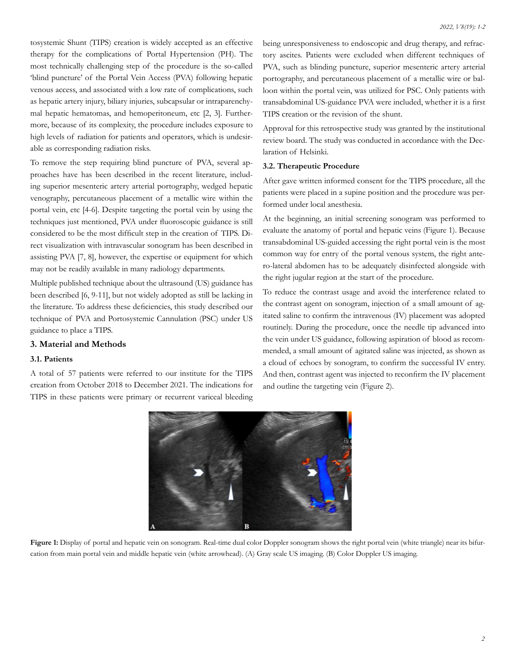tosystemic Shunt (TIPS) creation is widely accepted as an effective therapy for the complications of Portal Hypertension (PH). The most technically challenging step of the procedure is the so-called 'blind puncture' of the Portal Vein Access (PVA) following hepatic venous access, and associated with a low rate of complications, such as hepatic artery injury, biliary injuries, subcapsular or intraparenchymal hepatic hematomas, and hemoperitoneum, etc [2, 3]. Furthermore, because of its complexity, the procedure includes exposure to high levels of radiation for patients and operators, which is undesirable as corresponding radiation risks.

To remove the step requiring blind puncture of PVA, several approaches have has been described in the recent literature, including superior mesenteric artery arterial portography, wedged hepatic venography, percutaneous placement of a metallic wire within the portal vein, etc [4-6]. Despite targeting the portal vein by using the techniques just mentioned, PVA under fluoroscopic guidance is still considered to be the most difficult step in the creation of TIPS. Direct visualization with intravascular sonogram has been described in assisting PVA [7, 8], however, the expertise or equipment for which may not be readily available in many radiology departments.

Multiple published technique about the ultrasound (US) guidance has been described [6, 9-11], but not widely adopted as still be lacking in the literature. To address these deficiencies, this study described our technique of PVA and Portosystemic Cannulation (PSC) under US guidance to place a TIPS.

# **3. Material and Methods**

### **3.1. Patients**

A total of 57 patients were referred to our institute for the TIPS creation from October 2018 to December 2021. The indications for TIPS in these patients were primary or recurrent variceal bleeding being unresponsiveness to endoscopic and drug therapy, and refractory ascites. Patients were excluded when different techniques of PVA, such as blinding puncture, superior mesenteric artery arterial portography, and percutaneous placement of a metallic wire or balloon within the portal vein, was utilized for PSC. Only patients with transabdominal US-guidance PVA were included, whether it is a first TIPS creation or the revision of the shunt.

Approval for this retrospective study was granted by the institutional review board. The study was conducted in accordance with the Declaration of Helsinki.

#### **3.2. Therapeutic Procedure**

After gave written informed consent for the TIPS procedure, all the patients were placed in a supine position and the procedure was performed under local anesthesia.

At the beginning, an initial screening sonogram was performed to evaluate the anatomy of portal and hepatic veins (Figure 1). Because transabdominal US-guided accessing the right portal vein is the most common way for entry of the portal venous system, the right antero-lateral abdomen has to be adequately disinfected alongside with the right jugular region at the start of the procedure.

To reduce the contrast usage and avoid the interference related to the contrast agent on sonogram, injection of a small amount of agitated saline to confirm the intravenous (IV) placement was adopted routinely. During the procedure, once the needle tip advanced into the vein under US guidance, following aspiration of blood as recommended, a small amount of agitated saline was injected, as shown as a cloud of echoes by sonogram, to confirm the successful IV entry. And then, contrast agent was injected to reconfirm the IV placement and outline the targeting vein (Figure 2).



Figure 1: Display of portal and hepatic vein on sonogram. Real-time dual color Doppler sonogram shows the right portal vein (white triangle) near its bifurcation from main portal vein and middle hepatic vein (white arrowhead). (A) Gray scale US imaging. (B) Color Doppler US imaging.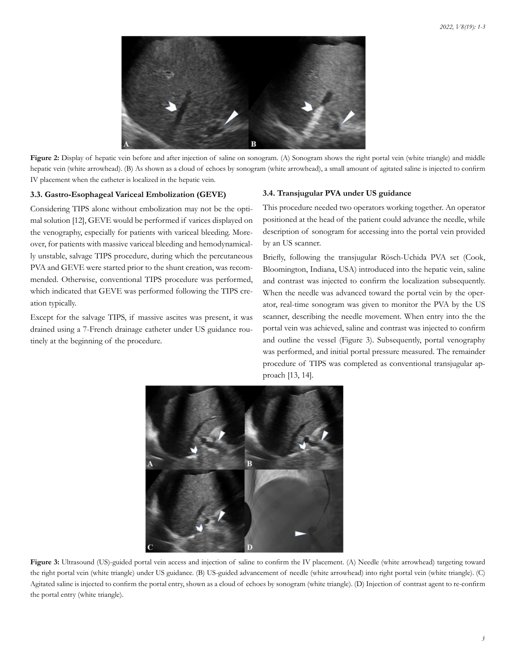

Figure 2: Display of hepatic vein before and after injection of saline on sonogram. (A) Sonogram shows the right portal vein (white triangle) and middle hepatic vein (white arrowhead). (B) As shown as a cloud of echoes by sonogram (white arrowhead), a small amount of agitated saline is injected to confirm IV placement when the catheter is localized in the hepatic vein.

# **3.3. Gastro-Esophageal Variceal Embolization (GEVE)**

Considering TIPS alone without embolization may not be the optimal solution [12], GEVE would be performed if varices displayed on the venography, especially for patients with variceal bleeding. Moreover, for patients with massive variceal bleeding and hemodynamically unstable, salvage TIPS procedure, during which the percutaneous PVA and GEVE were started prior to the shunt creation, was recommended. Otherwise, conventional TIPS procedure was performed, which indicated that GEVE was performed following the TIPS creation typically.

Except for the salvage TIPS, if massive ascites was present, it was drained using a 7-French drainage catheter under US guidance routinely at the beginning of the procedure.

### **3.4. Transjugular PVA under US guidance**

This procedure needed two operators working together. An operator positioned at the head of the patient could advance the needle, while description of sonogram for accessing into the portal vein provided by an US scanner.

Briefly, following the transjugular Rösch-Uchida PVA set (Cook, Bloomington, Indiana, USA) introduced into the hepatic vein, saline and contrast was injected to confirm the localization subsequently. When the needle was advanced toward the portal vein by the operator, real-time sonogram was given to monitor the PVA by the US scanner, describing the needle movement. When entry into the the portal vein was achieved, saline and contrast was injected to confirm and outline the vessel (Figure 3). Subsequently, portal venography was performed, and initial portal pressure measured. The remainder procedure of TIPS was completed as conventional transjugular approach [13, 14].



Figure 3: Ultrasound (US)-guided portal vein access and injection of saline to confirm the IV placement. (A) Needle (white arrowhead) targeting toward the right portal vein (white triangle) under US guidance. (B) US-guided advancement of needle (white arrowhead) into right portal vein (white triangle). (C) Agitated saline is injected to confirm the portal entry, shown as a cloud of echoes by sonogram (white triangle). (D) Injection of contrast agent to re-confirm the portal entry (white triangle).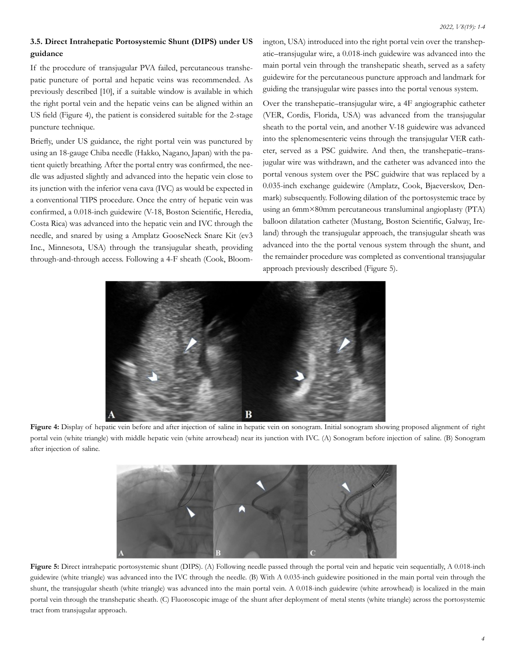# **3.5. Direct Intrahepatic Portosystemic Shunt (DIPS) under US guidance**

If the procedure of transjugular PVA failed, percutaneous transhepatic puncture of portal and hepatic veins was recommended. As previously described [10], if a suitable window is available in which the right portal vein and the hepatic veins can be aligned within an US field (Figure 4), the patient is considered suitable for the 2-stage puncture technique.

Briefly, under US guidance, the right portal vein was punctured by using an 18-gauge Chiba needle (Hakko, Nagano, Japan) with the patient quietly breathing. After the portal entry was confirmed, the needle was adjusted slightly and advanced into the hepatic vein close to its junction with the inferior vena cava (IVC) as would be expected in a conventional TIPS procedure. Once the entry of hepatic vein was confirmed, a 0.018-inch guidewire (V-18, Boston Scientific, Heredia, Costa Rica) was advanced into the hepatic vein and IVC through the needle, and snared by using a Amplatz GooseNeck Snare Kit (ev3 Inc., Minnesota, USA) through the transjugular sheath, providing through-and-through access. Following a 4-F sheath (Cook, Bloomington, USA) introduced into the right portal vein over the transhepatic–transjugular wire, a 0.018-inch guidewire was advanced into the main portal vein through the transhepatic sheath, served as a safety guidewire for the percutaneous puncture approach and landmark for guiding the transjugular wire passes into the portal venous system.

Over the transhepatic–transjugular wire, a 4F angiographic catheter (VER, Cordis, Florida, USA) was advanced from the transjugular sheath to the portal vein, and another V-18 guidewire was advanced into the splenomesenteric veins through the transjugular VER catheter, served as a PSC guidwire. And then, the transhepatic–transjugular wire was withdrawn, and the catheter was advanced into the portal venous system over the PSC guidwire that was replaced by a 0.035-inch exchange guidewire (Amplatz, Cook, Bjaeverskov, Denmark) subsequently. Following dilation of the portosystemic trace by using an 6mm×80mm percutaneous transluminal angioplasty (PTA) balloon dilatation catheter (Mustang, Boston Scientific, Galway, Ireland) through the transjugular approach, the transjugular sheath was advanced into the the portal venous system through the shunt, and the remainder procedure was completed as conventional transjugular approach previously described (Figure 5).



Figure 4: Display of hepatic vein before and after injection of saline in hepatic vein on sonogram. Initial sonogram showing proposed alignment of right portal vein (white triangle) with middle hepatic vein (white arrowhead) near its junction with IVC. (A) Sonogram before injection of saline. (B) Sonogram after injection of saline.



**Figure 5:** Direct intrahepatic portosystemic shunt (DIPS). (A) Following needle passed through the portal vein and hepatic vein sequentially, A 0.018-inch guidewire (white triangle) was advanced into the IVC through the needle. (B) With A 0.035-inch guidewire positioned in the main portal vein through the shunt, the transjugular sheath (white triangle) was advanced into the main portal vein. A 0.018-inch guidewire (white arrowhead) is localized in the main portal vein through the transhepatic sheath. (C) Fluoroscopic image of the shunt after deployment of metal stents (white triangle) across the portosystemic tract from transjugular approach.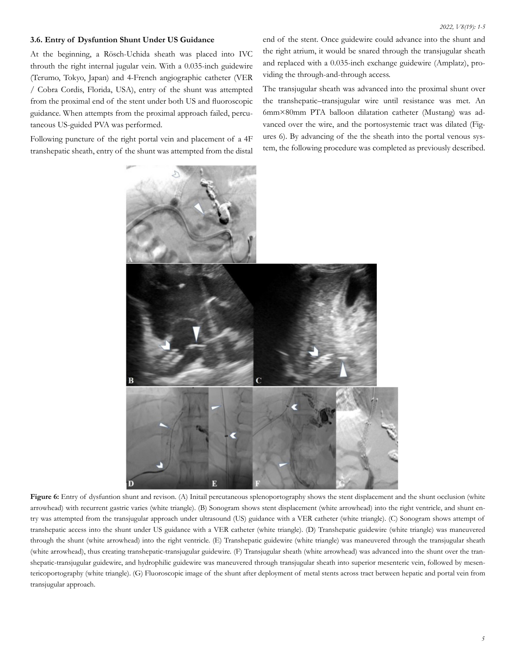#### **3.6. Entry of Dysfuntion Shunt Under US Guidance**

At the beginning, a Rösch-Uchida sheath was placed into IVC throuth the right internal jugular vein. With a 0.035-inch guidewire (Terumo, Tokyo, Japan) and 4-French angiographic catheter (VER / Cobra Cordis, Florida, USA), entry of the shunt was attempted from the proximal end of the stent under both US and fluoroscopic guidance. When attempts from the proximal approach failed, percutaneous US-guided PVA was performed.

Following puncture of the right portal vein and placement of a 4F transhepatic sheath, entry of the shunt was attempted from the distal end of the stent. Once guidewire could advance into the shunt and the right atrium, it would be snared through the transjugular sheath and replaced with a 0.035-inch exchange guidewire (Amplatz), providing the through-and-through access.

The transjugular sheath was advanced into the proximal shunt over the transhepatic–transjugular wire until resistance was met. An 6mm×80mm PTA balloon dilatation catheter (Mustang) was advanced over the wire, and the portosystemic tract was dilated (Figures 6). By advancing of the the sheath into the portal venous system, the following procedure was completed as previously described.



Figure 6: Entry of dysfuntion shunt and revison. (A) Initail percutaneous splenoportography shows the stent displacement and the shunt occlusion (white arrowhead) with recurrent gastric varies (white triangle). (B) Sonogram shows stent displacement (white arrowhead) into the right ventricle, and shunt entry was attempted from the transjugular approach under ultrasound (US) guidance with a VER catheter (white triangle). (C) Sonogram shows attempt of transhepatic access into the shunt under US guidance with a VER catheter (white triangle). (D) Transhepatic guidewire (white triangle) was maneuvered through the shunt (white arrowhead) into the right ventricle. (E) Transhepatic guidewire (white triangle) was maneuvered through the transjugular sheath (white arrowhead), thus creating transhepatic-transjugular guidewire. (F) Transjugular sheath (white arrowhead) was advanced into the shunt over the transhepatic-transjugular guidewire, and hydrophilic guidewire was maneuvered through transjugular sheath into superior mesenteric vein, followed by mesentericoportography (white triangle). (G) Fluoroscopic image of the shunt after deployment of metal stents across tract between hepatic and portal vein from transjugular approach.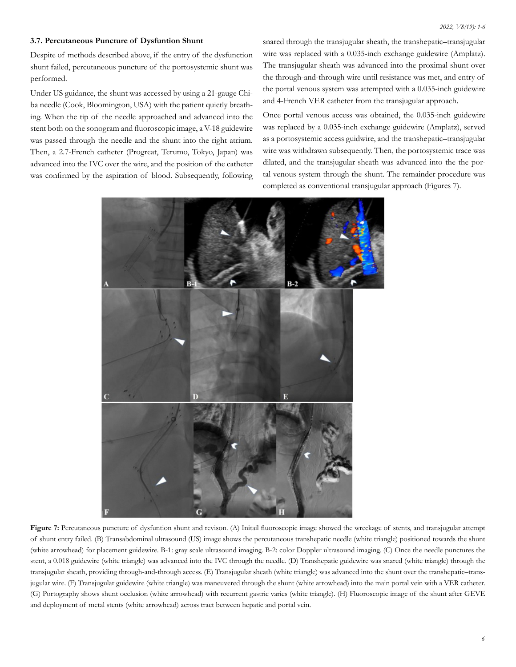### **3.7. Percutaneous Puncture of Dysfuntion Shunt**

Despite of methods described above, if the entry of the dysfunction shunt failed, percutaneous puncture of the portosystemic shunt was performed.

Under US guidance, the shunt was accessed by using a 21-gauge Chiba needle (Cook, Bloomington, USA) with the patient quietly breathing. When the tip of the needle approached and advanced into the stent both on the sonogram and fluoroscopic image, a V-18 guidewire was passed through the needle and the shunt into the right atrium. Then, a 2.7-French catheter (Progreat, Terumo, Tokyo, Japan) was advanced into the IVC over the wire, and the position of the catheter was confirmed by the aspiration of blood. Subsequently, following

snared through the transjugular sheath, the transhepatic–transjugular wire was replaced with a 0.035-inch exchange guidewire (Amplatz). The transjugular sheath was advanced into the proximal shunt over the through-and-through wire until resistance was met, and entry of the portal venous system was attempted with a 0.035-inch guidewire and 4-French VER catheter from the transjugular approach.

Once portal venous access was obtained, the 0.035-inch guidewire was replaced by a 0.035-inch exchange guidewire (Amplatz), served as a portosystemic access guidwire, and the transhepatic–transjugular wire was withdrawn subsequently. Then, the portosystemic trace was dilated, and the transjugular sheath was advanced into the the portal venous system through the shunt. The remainder procedure was completed as conventional transjugular approach (Figures 7).



Figure 7: Percutaneous puncture of dysfuntion shunt and revison. (A) Initail fluoroscopic image showed the wreckage of stents, and transjugular attempt of shunt entry failed. (B) Transabdominal ultrasound (US) image shows the percutaneous transhepatic needle (white triangle) positioned towards the shunt (white arrowhead) for placement guidewire. B-1: gray scale ultrasound imaging. B-2: color Doppler ultrasound imaging. (C) Once the needle punctures the stent, a 0.018 guidewire (white triangle) was advanced into the IVC through the needle. (D) Transhepatic guidewire was snared (white triangle) through the transjugular sheath, providing through-and-through access. (E) Transjugular sheath (white triangle) was advanced into the shunt over the transhepatic–transjugular wire. (F) Transjugular guidewire (white triangle) was maneuvered through the shunt (white arrowhead) into the main portal vein with a VER catheter. (G) Portography shows shunt occlusion (white arrowhead) with recurrent gastric varies (white triangle). (H) Fluoroscopic image of the shunt after GEVE and deployment of metal stents (white arrowhead) across tract between hepatic and portal vein.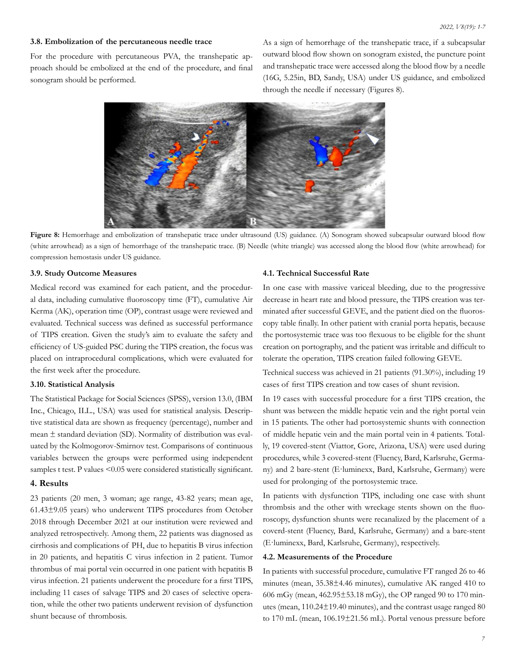# **3.8. Embolization of the percutaneous needle trace**

For the procedure with percutaneous PVA, the transhepatic approach should be embolized at the end of the procedure, and final sonogram should be performed.

As a sign of hemorrhage of the transhepatic trace, if a subcapsular outward blood flow shown on sonogram existed, the puncture point and transhepatic trace were accessed along the blood flow by a needle (16G, 5.25in, BD, Sandy, USA) under US guidance, and embolized through the needle if necessary (Figures 8).



Figure 8: Hemorrhage and embolization of transhepatic trace under ultrasound (US) guidance. (A) Sonogram showed subcapsular outward blood flow (white arrowhead) as a sign of hemorrhage of the transhepatic trace. (B) Needle (white triangle) was accessed along the blood flow (white arrowhead) for compression hemostasis under US guidance.

# **3.9. Study Outcome Measures**

Medical record was examined for each patient, and the procedural data, including cumulative fluoroscopy time (FT), cumulative Air Kerma (AK), operation time (OP), contrast usage were reviewed and evaluated. Technical success was defined as successful performance of TIPS creation. Given the study's aim to evaluate the safety and efficiency of US-guided PSC during the TIPS creation, the focus was placed on intraprocedural complications, which were evaluated for the first week after the procedure.

#### **3.10. Statistical Analysis**

The Statistical Package for Social Sciences (SPSS), version 13.0, (IBM Inc., Chicago, ILL., USA) was used for statistical analysis. Descriptive statistical data are shown as frequency (percentage), number and mean ± standard deviation (SD). Normality of distribution was evaluated by the Kolmogorov-Smirnov test. Comparisons of continuous variables between the groups were performed using independent samples t test. P values <0.05 were considered statistically significant.

#### **4. Results**

23 patients (20 men, 3 woman; age range, 43-82 years; mean age, 61.43±9.05 years) who underwent TIPS procedures from October 2018 through December 2021 at our institution were reviewed and analyzed retrospectively. Among them, 22 patients was diagnosed as cirrhosis and complications of PH, due to hepatitis B virus infection in 20 patients, and hepatitis C virus infection in 2 patient. Tumor thrombus of mai portal vein occurred in one patient with hepatitis B virus infection. 21 patients underwent the procedure for a first TIPS, including 11 cases of salvage TIPS and 20 cases of selective operation, while the other two patients underwent revision of dysfunction shunt because of thrombosis.

#### **4.1. Technical Successful Rate**

In one case with massive variceal bleeding, due to the progressive decrease in heart rate and blood pressure, the TIPS creation was terminated after successful GEVE, and the patient died on the fluoroscopy table finally. In other patient with cranial porta hepatis, because the portosystemic trace was too flexuous to be eligible for the shunt creation on portography, and the patient was irritable and difficult to tolerate the operation, TIPS creation failed following GEVE.

Technical success was achieved in 21 patients (91.30%), including 19 cases of first TIPS creation and tow cases of shunt revision.

In 19 cases with successful procedure for a first TIPS creation, the shunt was between the middle hepatic vein and the right portal vein in 15 patients. The other had portosystemic shunts with connection of middle hepatic vein and the main portal vein in 4 patients. Totally, 19 covered-stent (Viattor, Gore, Arizona, USA) were used during procedures, while 3 covered-stent (Fluency, Bard, Karlsruhe, Germany) and 2 bare-stent (E·luminexx, Bard, Karlsruhe, Germany) were used for prolonging of the portosystemic trace.

In patients with dysfunction TIPS, including one case with shunt thrombsis and the other with wreckage stents shown on the fluoroscopy, dysfunction shunts were recanalized by the placement of a coverd-stent (Fluency, Bard, Karlsruhe, Germany) and a bare-stent (E·luminexx, Bard, Karlsruhe, Germany), respectively.

# **4.2. Measurements of the Procedure**

In patients with successful procedure, cumulative FT ranged 26 to 46 minutes (mean, 35.38±4.46 minutes), cumulative AK ranged 410 to 606 mGy (mean, 462.95±53.18 mGy), the OP ranged 90 to 170 minutes (mean, 110.24±19.40 minutes), and the contrast usage ranged 80 to 170 mL (mean, 106.19±21.56 mL). Portal venous pressure before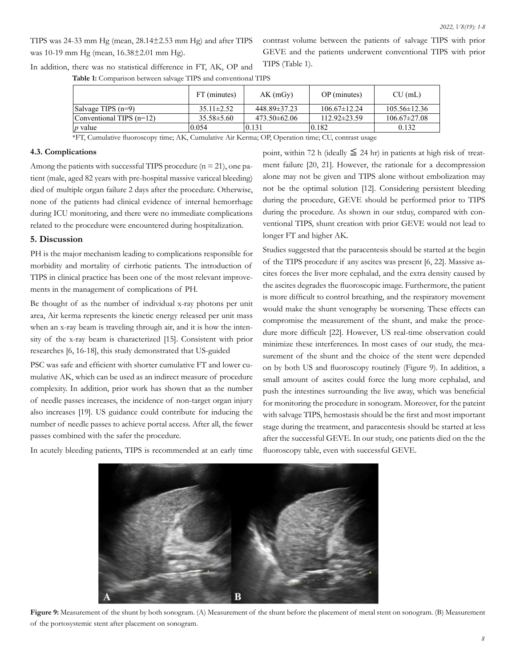TIPS was 24-33 mm Hg (mean, 28.14±2.53 mm Hg) and after TIPS was 10-19 mm Hg (mean, 16.38±2.01 mm Hg).

contrast volume between the patients of salvage TIPS with prior GEVE and the patients underwent conventional TIPS with prior TIPS (Table 1).

In addition, there was no statistical difference in FT, AK, OP and

**Table 1:** Comparison between salvage TIPS and conventional TIPS

|                                                           | FT (minutes)     | AK(mGy)            | OP (minutes)       | $CU$ (mL)          |
|-----------------------------------------------------------|------------------|--------------------|--------------------|--------------------|
| $\vert$ Salvage TIPS $(n=9)$                              | $35.11 \pm 2.52$ | $448.89 \pm 37.23$ | $106.67 \pm 12.24$ | $105.56 \pm 12.36$ |
| Conventional TIPS $(n=12)$                                | $35.58 \pm 5.60$ | $473.50\pm 62.06$  | $112.92\pm 23.59$  | $106.67 \pm 27.08$ |
| $ p \text{ value} $                                       | 0.054            | 0.131              | 0.182              | 0.132              |
| $\sim$ $\sim$ $\sim$ $\sim$ $\sim$ $\sim$<br>----<br>---- |                  |                    |                    |                    |

\*FT, Cumulative fluoroscopy time; AK, Cumulative Air Kerma; OP, Operation time; CU, contrast usage

# **4.3. Complications**

Among the patients with successful TIPS procedure  $(n = 21)$ , one patient (male, aged 82 years with pre-hospital massive variceal bleeding) died of multiple organ failure 2 days after the procedure. Otherwise, none of the patients had clinical evidence of internal hemorrhage during ICU monitoring, and there were no immediate complications related to the procedure were encountered during hospitalization.

### **5. Discussion**

PH is the major mechanism leading to complications responsible for morbidity and mortality of cirrhotic patients. The introduction of TIPS in clinical practice has been one of the most relevant improvements in the management of complications of PH.

Be thought of as the number of individual x-ray photons per unit area, Air kerma represents the kinetic energy released per unit mass when an x-ray beam is traveling through air, and it is how the intensity of the x-ray beam is characterized [15]. Consistent with prior researches [6, 16-18], this study demonstrated that US-guided

PSC was safe and efficient with shorter cumulative FT and lower cumulative AK, which can be used as an indirect measure of procedure complexity. In addition, prior work has shown that as the number of needle passes increases, the incidence of non-target organ injury also increases [19]. US guidance could contribute for inducing the number of needle passes to achieve portal access. After all, the fewer passes combined with the safer the procedure.

In acutely bleeding patients, TIPS is recommended at an early time

point, within 72 h (ideally  $\leq$  24 hr) in patients at high risk of treatment failure [20, 21]. However, the rationale for a decompression alone may not be given and TIPS alone without embolization may not be the optimal solution [12]. Considering persistent bleeding during the procedure, GEVE should be performed prior to TIPS during the procedure. As shown in our stduy, compared with conventional TIPS, shunt creation with prior GEVE would not lead to longer FT and higher AK.

Studies suggested that the paracentesis should be started at the begin of the TIPS procedure if any ascites was present [6, 22]. Massive ascites forces the liver more cephalad, and the extra density caused by the ascites degrades the fluoroscopic image. Furthermore, the patient is more difficult to control breathing, and the respiratory movement would make the shunt venography be worsening. These effects can compromise the measurement of the shunt, and make the procedure more difficult [22]. However, US real-time observation could minimize these interferences. In most cases of our study, the measurement of the shunt and the choice of the stent were depended on by both US and fluoroscopy routinely (Figure 9). In addition, a small amount of ascites could force the lung more cephalad, and push the intestines surrounding the live away, which was beneficial for monitoring the procedure in sonogram. Moreover, for the pateint with salvage TIPS, hemostasis should be the first and most important stage during the treatment, and paracentesis should be started at less after the successful GEVE. In our study, one patients died on the the fluoroscopy table, even with successful GEVE.



**Figure 9:** Measurement of the shunt by both sonogram. (A) Measurement of the shunt before the placement of metal stent on sonogram. (B) Measurement of the portosystemic stent after placement on sonogram.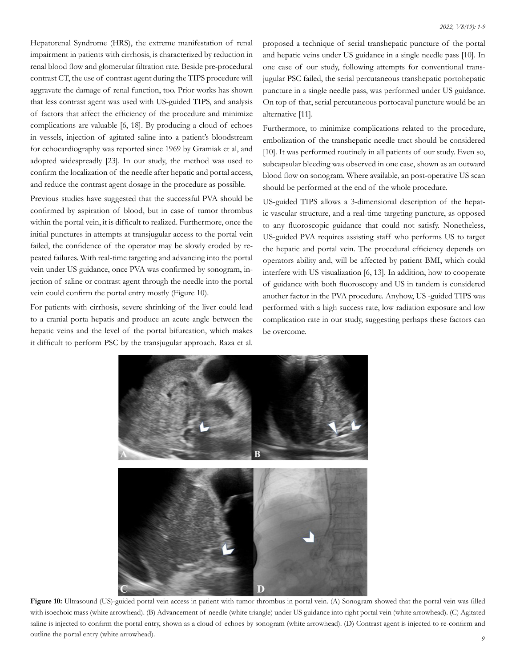Hepatorenal Syndrome (HRS), the extreme manifestation of renal impairment in patients with cirrhosis, is characterized by reduction in renal blood flow and glomerular filtration rate. Beside pre-procedural contrast CT, the use of contrast agent during the TIPS procedure will aggravate the damage of renal function, too. Prior works has shown that less contrast agent was used with US-guided TIPS, and analysis of factors that affect the efficiency of the procedure and minimize complications are valuable [6, 18]. By producing a cloud of echoes in vessels, injection of agitated saline into a patient's bloodstream for echocardiography was reported since 1969 by Gramiak et al, and adopted widespreadly [23]. In our study, the method was used to confirm the localization of the needle after hepatic and portal access, and reduce the contrast agent dosage in the procedure as possible.

Previous studies have suggested that the successful PVA should be confirmed by aspiration of blood, but in case of tumor thrombus within the portal vein, it is difficult to realized. Furthermore, once the initial punctures in attempts at transjugular access to the portal vein failed, the confidence of the operator may be slowly eroded by repeated failures. With real-time targeting and advancing into the portal vein under US guidance, once PVA was confirmed by sonogram, injection of saline or contrast agent through the needle into the portal vein could confirm the portal entry mostly (Figure 10).

For patients with cirrhosis, severe shrinking of the liver could lead to a cranial porta hepatis and produce an acute angle between the hepatic veins and the level of the portal bifurcation, which makes it difficult to perform PSC by the transjugular approach. Raza et al.

proposed a technique of serial transhepatic puncture of the portal and hepatic veins under US guidance in a single needle pass [10]. In one case of our study, following attempts for conventional transjugular PSC failed, the serial percutaneous transhepatic portohepatic puncture in a single needle pass, was performed under US guidance. On top of that, serial percutaneous portocaval puncture would be an alternative [11].

Furthermore, to minimize complications related to the procedure, embolization of the transhepatic needle tract should be considered [10]. It was performed routinely in all patients of our study. Even so, subcapsular bleeding was observed in one case, shown as an outward blood flow on sonogram. Where available, an post-operative US scan should be performed at the end of the whole procedure.

US-guided TIPS allows a 3-dimensional description of the hepatic vascular structure, and a real-time targeting puncture, as opposed to any fluoroscopic guidance that could not satisfy. Nonetheless, US-guided PVA requires assisting staff who performs US to target the hepatic and portal vein. The procedural efficiency depends on operators ability and, will be affected by patient BMI, which could interfere with US visualization [6, 13]. In addition, how to cooperate of guidance with both fluoroscopy and US in tandem is considered another factor in the PVA procedure. Anyhow, US -guided TIPS was performed with a high success rate, low radiation exposure and low complication rate in our study, suggesting perhaps these factors can be overcome.



Figure 10: Ultrasound (US)-guided portal vein access in patient with tumor thrombus in portal vein. (A) Sonogram showed that the portal vein was filled with isoechoic mass (white arrowhead). (B) Advancement of needle (white triangle) under US guidance into right portal vein (white arrowhead). (C) Agitated saline is injected to confirm the portal entry, shown as a cloud of echoes by sonogram (white arrowhead). (D) Contrast agent is injected to re-confirm and outline the portal entry (white arrowhead).